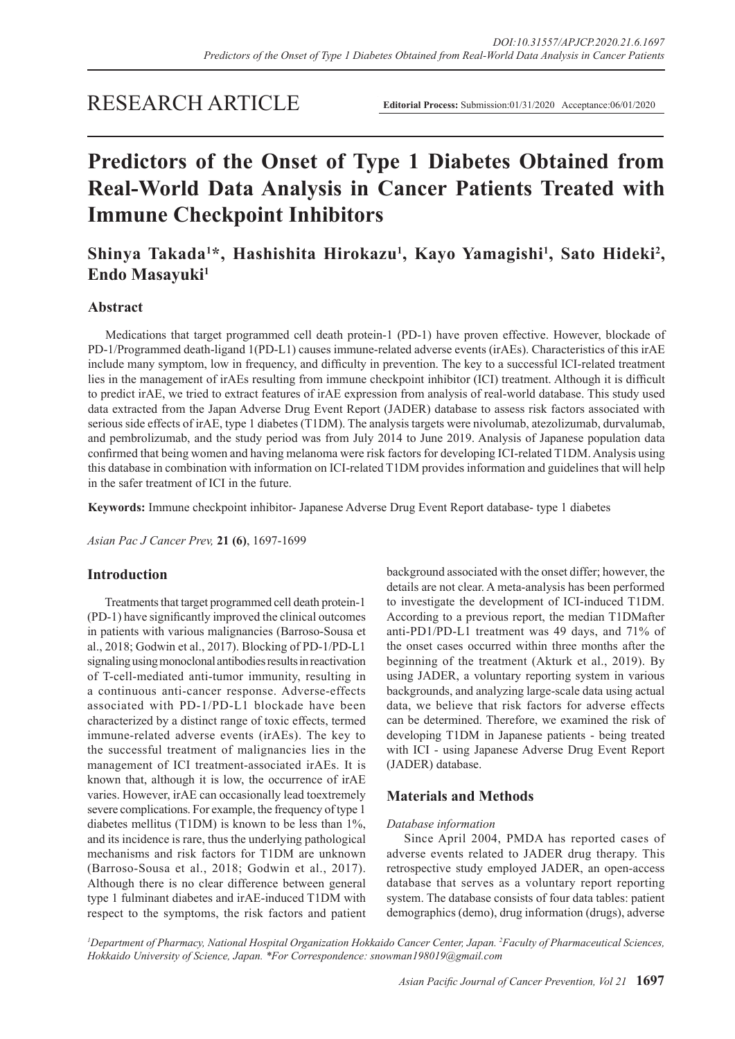## RESEARCH ARTICLE

# **Predictors of the Onset of Type 1 Diabetes Obtained from Real-World Data Analysis in Cancer Patients Treated with Immune Checkpoint Inhibitors**

Shinya Takada<sup>1\*</sup>, Hashishita Hirokazu<sup>1</sup>, Kayo Yamagishi<sup>1</sup>, Sato Hideki<sup>2</sup>, **Endo Masayuki**<sup>1</sup>

## **Abstract**

Medications that target programmed cell death protein-1 (PD-1) have proven effective. However, blockade of PD-1/Programmed death-ligand 1(PD-L1) causes immune-related adverse events (irAEs). Characteristics of this irAE include many symptom, low in frequency, and difficulty in prevention. The key to a successful ICI-related treatment lies in the management of irAEs resulting from immune checkpoint inhibitor (ICI) treatment. Although it is difficult to predict irAE, we tried to extract features of irAE expression from analysis of real-world database. This study used data extracted from the Japan Adverse Drug Event Report (JADER) database to assess risk factors associated with serious side effects of irAE, type 1 diabetes (T1DM). The analysis targets were nivolumab, atezolizumab, durvalumab, and pembrolizumab, and the study period was from July 2014 to June 2019. Analysis of Japanese population data confirmed that being women and having melanoma were risk factors for developing ICI-related T1DM. Analysis using this database in combination with information on ICI-related T1DM provides information and guidelines that will help in the safer treatment of ICI in the future.

**Keywords:** Immune checkpoint inhibitor- Japanese Adverse Drug Event Report database- type 1 diabetes

*Asian Pac J Cancer Prev,* **21 (6)**, 1697-1699

#### **Introduction**

Treatments that target programmed cell death protein-1 (PD-1) have significantly improved the clinical outcomes in patients with various malignancies (Barroso-Sousa et al., 2018; Godwin et al., 2017). Blocking of PD-1/PD-L1 signaling using monoclonal antibodies results in reactivation of T-cell-mediated anti-tumor immunity, resulting in a continuous anti-cancer response. Adverse-effects associated with PD-1/PD-L1 blockade have been characterized by a distinct range of toxic effects, termed immune-related adverse events (irAEs). The key to the successful treatment of malignancies lies in the management of ICI treatment-associated irAEs. It is known that, although it is low, the occurrence of irAE varies. However, irAE can occasionally lead toextremely severe complications. For example, the frequency of type 1 diabetes mellitus (T1DM) is known to be less than 1%, and its incidence is rare, thus the underlying pathological mechanisms and risk factors for T1DM are unknown (Barroso-Sousa et al., 2018; Godwin et al., 2017). Although there is no clear difference between general type 1 fulminant diabetes and irAE-induced T1DM with respect to the symptoms, the risk factors and patient background associated with the onset differ; however, the details are not clear. A meta-analysis has been performed to investigate the development of ICI-induced T1DM. According to a previous report, the median T1DMafter anti-PD1/PD-L1 treatment was 49 days, and 71% of the onset cases occurred within three months after the beginning of the treatment (Akturk et al., 2019). By using JADER, a voluntary reporting system in various backgrounds, and analyzing large-scale data using actual data, we believe that risk factors for adverse effects can be determined. Therefore, we examined the risk of developing T1DM in Japanese patients - being treated with ICI - using Japanese Adverse Drug Event Report (JADER) database.

#### **Materials and Methods**

#### *Database information*

Since April 2004, PMDA has reported cases of adverse events related to JADER drug therapy. This retrospective study employed JADER, an open-access database that serves as a voluntary report reporting system. The database consists of four data tables: patient demographics (demo), drug information (drugs), adverse

*1 Department of Pharmacy, National Hospital Organization Hokkaido Cancer Center, Japan. 2 Faculty of Pharmaceutical Sciences, Hokkaido University of Science, Japan. \*For Correspondence: snowman198019@gmail.com*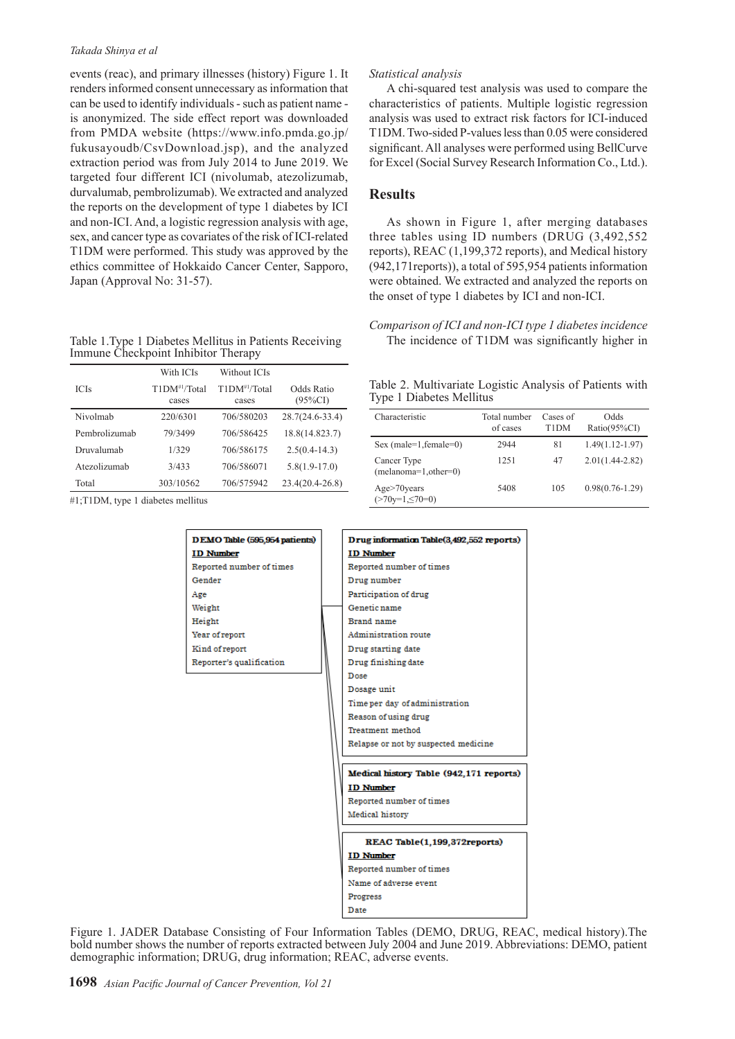#### *Takada Shinya et al*

events (reac), and primary illnesses (history) Figure 1. It renders informed consent unnecessary as information that can be used to identify individuals - such as patient name is anonymized. The side effect report was downloaded from PMDA website (https://www.info.pmda.go.jp/ fukusayoudb/CsvDownload.jsp), and the analyzed extraction period was from July 2014 to June 2019. We targeted four different ICI (nivolumab, atezolizumab, durvalumab, pembrolizumab). We extracted and analyzed the reports on the development of type 1 diabetes by ICI and non-ICI. And, a logistic regression analysis with age, sex, and cancer type as covariates of the risk of ICI-related T1DM were performed. This study was approved by the ethics committee of Hokkaido Cancer Center, Sapporo, Japan (Approval No: 31-57).

| Table 1. Type 1 Diabetes Mellitus in Patients Receiving |  |
|---------------------------------------------------------|--|
| Immune Checkpoint Inhibitor Therapy                     |  |

|               | With ICIs                  | Without ICIs               |                          |
|---------------|----------------------------|----------------------------|--------------------------|
| <b>ICIs</b>   | $T1DM^{#1}/Total$<br>cases | $T1DM^{#1}/Total$<br>cases | Odds Ratio<br>$(95\%CI)$ |
| Nivolmab      | 220/6301                   | 706/580203                 | $28.7(24.6 - 33.4)$      |
| Pembrolizumab | 79/3499                    | 706/586425                 | 18.8(14.823.7)           |
| Druvalumah    | 1/329                      | 706/586175                 | $2.5(0.4-14.3)$          |
| Atezolizumab  | 3/433                      | 706/586071                 | $5.8(1.9-17.0)$          |
| Total         | 303/10562                  | 706/575942                 | $23.4(20.4-26.8)$        |

#1;T1DM, type 1 diabetes mellitus

| DEMO Table (595,954 patients) | Drug information Table(3,4       |
|-------------------------------|----------------------------------|
| <b>ID Number</b>              | <b>ID Number</b>                 |
| Reported number of times      | Reported number of times         |
| Gender                        | Drug number                      |
| Age                           | Participation of drug            |
| Weight                        | Genetic name                     |
| Height                        | Brand name                       |
| Year of report                | Administration route             |
| Kind of report                | Drug starting date               |
| Reporter's qualification      | Drug finishing date              |
|                               | Dose                             |
|                               | Dosage unit                      |
|                               | Time per day of administrat      |
|                               | Reason of using drug             |
|                               | Treatment method                 |
|                               | Relapse or not by suspected      |
|                               |                                  |
|                               | <b>Medical history Table (94</b> |
|                               | <b>ID Number</b>                 |
|                               | Reported number of times         |
|                               | Medical history                  |
|                               | <b>REAC Table(1,199,3</b>        |
|                               | <b>ID Number</b>                 |

#### *Statistical analysis*

A chi-squared test analysis was used to compare the characteristics of patients. Multiple logistic regression analysis was used to extract risk factors for ICI-induced T1DM. Two-sided P-values less than 0.05 were considered significant. All analyses were performed using BellCurve for Excel (Social Survey Research Information Co., Ltd.).

#### **Results**

As shown in Figure 1, after merging databases three tables using ID numbers (DRUG (3,492,552 reports), REAC (1,199,372 reports), and Medical history (942,171reports)), a total of 595,954 patients information were obtained. We extracted and analyzed the reports on the onset of type 1 diabetes by ICI and non-ICI.

*Comparison of ICI and non-ICI type 1 diabetes incidence* The incidence of T1DM was significantly higher in

Table 2. Multivariate Logistic Analysis of Patients with Type 1 Diabetes Mellitus

| Characteristic                        | Total number<br>of cases | Cases of<br>T1DM | Odds<br>Ratio(95%CI) |
|---------------------------------------|--------------------------|------------------|----------------------|
| Sex (male= $1$ , female= $0$ )        | 2944                     | 81               | $1.49(1.12 - 1.97)$  |
| Cancer Type<br>$(melanoma=1,other=0)$ | 1251                     | 47               | $2.01(1.44 - 2.82)$  |
| Age > 70 years<br>$(270y=1,570=0)$    | 5408                     | 105              | $0.98(0.76 - 1.29)$  |

| Drug information Table(3,492,552 reports) |  |
|-------------------------------------------|--|
| <b>ID Number</b>                          |  |
| Reported number of times                  |  |
| Drug number                               |  |
| Participation of drug                     |  |
| Genetic name                              |  |
| Brand name                                |  |
| Administration route                      |  |
| Drug starting date                        |  |
| Drug finishing date                       |  |
| Dose                                      |  |
| Dosage unit                               |  |
| Time per day of administration            |  |
| Reason of using drug                      |  |
| Treatment method                          |  |
| Relapse or not by suspected medicine      |  |
| Medical history Table (942,171 reports)   |  |
| <b>ID Number</b>                          |  |
| Reported number of times                  |  |
| Medical history                           |  |
|                                           |  |
| REAC Table(1.199.372reports)              |  |
| <b>ID Number</b>                          |  |
| Reported number of times                  |  |
| Name of adverse event                     |  |
| Progress                                  |  |
| Date                                      |  |

Figure 1. JADER Database Consisting of Four Information Tables (DEMO, DRUG, REAC, medical history).The bold number shows the number of reports extracted between July 2004 and June 2019. Abbreviations: DEMO, patient demographic information; DRUG, drug information; REAC, adverse events.